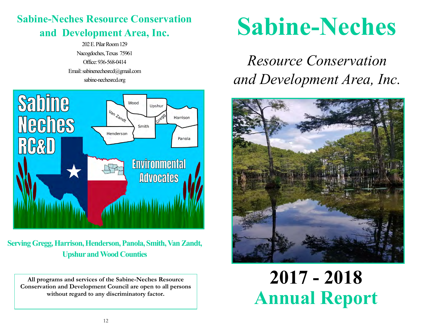#### **Sabine-Neches Resource Conservation and Development Area, Inc.**

202 E. Pilar Room 129 Nacogdoches, Texas 75961 Office: 936-568-0414 Email: sabinenechesrcd@gmail.com sabine-nechesrcd.org



**Serving Gregg, Harrison, Henderson, Panola, Smith, Van Zandt, Upshur and Wood Counties**

**All programs and services of the Sabine-Neches Resource Conservation and Development Council are open to all persons without regard to any discriminatory factor.**

# **Sabine-Neches**

## *Resource Conservation and Development Area, Inc.*



## **2017 - 2018 Annual Report**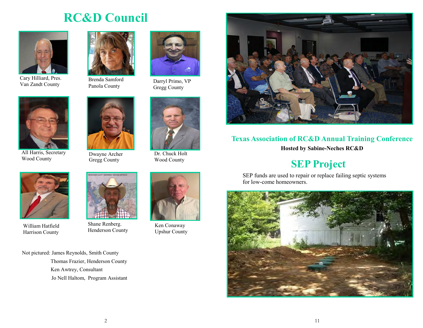#### **RC&D Council**

![](_page_1_Picture_1.jpeg)

Cary Hilliard, Pres. Van Zandt County

![](_page_1_Picture_3.jpeg)

Brenda Samford Panola County

![](_page_1_Picture_5.jpeg)

Darryl Primo, VP Gregg County

![](_page_1_Picture_7.jpeg)

All Harris, Secretary Wood County

![](_page_1_Picture_10.jpeg)

Dwayne Archer Gregg County

![](_page_1_Picture_12.jpeg)

Dr. Chuck Holt Wood County

![](_page_1_Picture_14.jpeg)

William Hatfield Harrison County

![](_page_1_Picture_16.jpeg)

Shane Renberg. Henderson County

![](_page_1_Picture_18.jpeg)

Ken Conaway Upshur County

![](_page_1_Picture_20.jpeg)

#### **Texas Association of RC&D Annual Training Conference**

**Hosted by Sabine-Neches RC&D**

#### **SEP Project**

SEP funds are used to repair or replace failing septic systems for low-come homeowners.

![](_page_1_Picture_25.jpeg)

Not pictured: James Reynolds, Smith County

 Thomas Frazier, Henderson County Ken Awtrey, Consultant Jo Nell Haltom, Program Assistant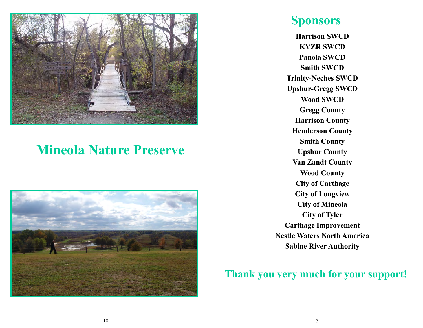![](_page_2_Picture_0.jpeg)

### **Mineola Nature Preserve**

![](_page_2_Picture_2.jpeg)

#### **Sponsors**

**Harrison SWCD KVZR SWCD Panola SWCD Smith SWCD Trinity-Neches SWCD Upshur-Gregg SWCD Wood SWCD Gregg County Harrison County Henderson County Smith County Upshur County Van Zandt County Wood County City of Carthage City of Longview City of Mineola City of Tyler Carthage Improvement Nestle Waters North America Sabine River Authority**

#### **Thank you very much for your support!**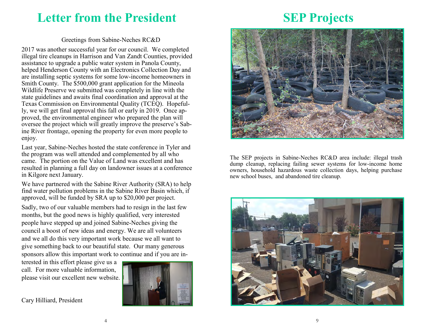#### **Letter from the President**

#### Greetings from Sabine-Neches RC&D

2017 was another successful year for our council. We completed illegal tire cleanups in Harrison and Van Zandt Counties, provided assistance to upgrade a public water system in Panola County, helped Henderson County with an Electronics Collection Day and are installing septic systems for some low-income homeowners in Smith County. The \$500,000 grant application for the Mineola Wildlife Preserve we submitted was completely in line with the state guidelines and awaits final coordination and approval at the Texas Commission on Environmental Quality (TCEQ). Hopefully, we will get final approval this fall or early in 2019. Once approved, the environmental engineer who prepared the plan will oversee the project which will greatly improve the preserve's Sabine River frontage, opening the property for even more people to enjoy.

Last year, Sabine-Neches hosted the state conference in Tyler and the program was well attended and complemented by all who came. The portion on the Value of Land was excellent and has resulted in planning a full day on landowner issues at a conference in Kilgore next January.

We have partnered with the Sabine River Authority (SRA) to help find water pollution problems in the Sabine River Basin which, if approved, will be funded by SRA up to \$20,000 per project.

Sadly, two of our valuable members had to resign in the last few months, but the good news is highly qualified, very interested people have stepped up and joined Sabine-Neches giving the council a boost of new ideas and energy. We are all volunteers and we all do this very important work because we all want to give something back to our beautiful state. Our many generous sponsors allow this important work to continue and if you are in-

terested in this effort please give us a call. For more valuable information, please visit our excellent new website.

![](_page_3_Picture_7.jpeg)

Cary Hilliard, President

#### **SEP Projects**

![](_page_3_Picture_10.jpeg)

The SEP projects in Sabine-Neches RC&D area include: illegal trash dump cleanup, replacing failing sewer systems for low-income home owners, household hazardous waste collection days, helping purchase new school buses, and abandoned tire cleanup.

![](_page_3_Picture_12.jpeg)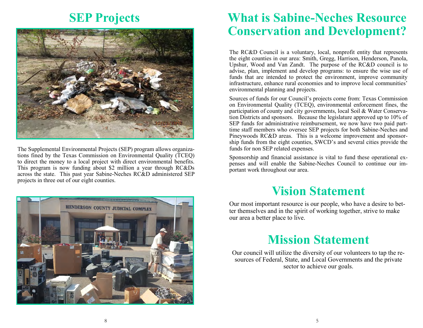#### **SEP Projects**

![](_page_4_Picture_1.jpeg)

The Supplemental Environmental Projects (SEP) program allows organizations fined by the Texas Commission on Environmental Quality (TCEQ) to direct the money to a local project with direct environmental benefits. This program is now funding about \$2 million a year through RC&Ds across the state. This past year Sabine-Neches RC&D administered SEP projects in three out of our eight counties.

#### **What is Sabine-Neches Resource Conservation and Development?**

The RC&D Council is a voluntary, local, nonprofit entity that represents the eight counties in our area: Smith, Gregg, Harrison, Henderson, Panola, Upshur, Wood and Van Zandt. The purpose of the RC&D council is to advise, plan, implement and develop programs: to ensure the wise use of funds that are intended to protect the environment, improve community infrastructure, enhance rural economies and to improve local communities' environmental planning and projects.

Sources of funds for our Council's projects come from: Texas Commission on Environmental Quality (TCEQ), environmental enforcement fines, the participation of county and city governments, local Soil & Water Conservation Districts and sponsors. Because the legislature approved up to 10% of SEP funds for administrative reimbursement, we now have two paid parttime staff members who oversee SEP projects for both Sabine-Neches and Pineywoods RC&D areas. This is a welcome improvement and sponsorship funds from the eight counties, SWCD's and several cities provide the funds for non SEP related expenses.

Sponsorship and financial assistance is vital to fund these operational expenses and will enable the Sabine-Neches Council to continue our important work throughout our area.

#### **Vision Statement**

Our most important resource is our people, who have a desire to better themselves and in the spirit of working together, strive to make our area a better place to live.

#### **Mission Statement**

Our council will utilize the diversity of our volunteers to tap the resources of Federal, State, and Local Governments and the private sector to achieve our goals.

![](_page_4_Picture_11.jpeg)